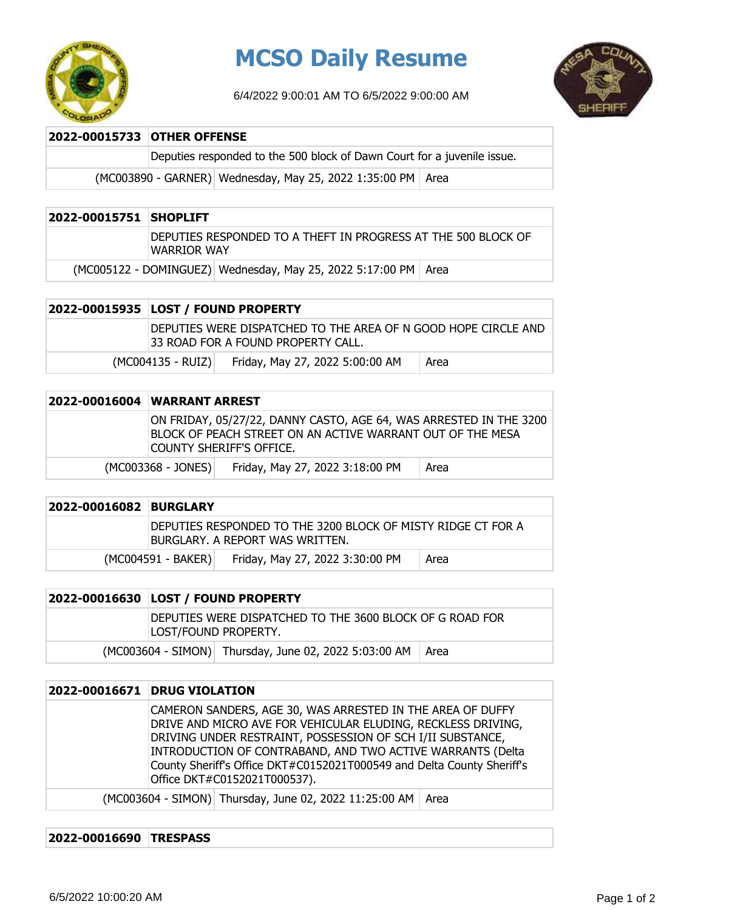

## **MCSO Daily Resume**

6/4/2022 9:00:01 AM TO 6/5/2022 9:00:00 AM



| 2022-00015733 OTHER OFFENSE |                                                                         |  |
|-----------------------------|-------------------------------------------------------------------------|--|
|                             | Deputies responded to the 500 block of Dawn Court for a juvenile issue. |  |
|                             | (MC003890 - GARNER) Wednesday, May 25, 2022 1:35:00 PM   Area           |  |

| 2022-00015751 SHOPLIFT                                           |                                                                              |  |  |
|------------------------------------------------------------------|------------------------------------------------------------------------------|--|--|
|                                                                  | DEPUTIES RESPONDED TO A THEFT IN PROGRESS AT THE 500 BLOCK OF<br>WARRIOR WAY |  |  |
| (MC005122 - DOMINGUEZ) Wednesday, May 25, 2022 5:17:00 PM   Area |                                                                              |  |  |

| 2022-00015935  LOST / FOUND PROPERTY |                                                                                                       |      |
|--------------------------------------|-------------------------------------------------------------------------------------------------------|------|
|                                      | DEPUTIES WERE DISPATCHED TO THE AREA OF N GOOD HOPE CIRCLE AND<br>133 ROAD FOR A FOUND PROPERTY CALL. |      |
| $(MCOO4135 - RUIZ))$                 | Friday, May 27, 2022 5:00:00 AM                                                                       | Area |

| 2022-00016004 WARRANT ARREST |                                                                                                                                                              |      |
|------------------------------|--------------------------------------------------------------------------------------------------------------------------------------------------------------|------|
|                              | ON FRIDAY, 05/27/22, DANNY CASTO, AGE 64, WAS ARRESTED IN THE 3200<br>BLOCK OF PEACH STREET ON AN ACTIVE WARRANT OUT OF THE MESA<br>COUNTY SHERIFF'S OFFICE. |      |
| $(MCO03368 - JONES)$         | Friday, May 27, 2022 3:18:00 PM                                                                                                                              | Area |

| 2022-00016082 BURGLARY |                                                                                                 |                                 |      |
|------------------------|-------------------------------------------------------------------------------------------------|---------------------------------|------|
|                        | DEPUTIES RESPONDED TO THE 3200 BLOCK OF MISTY RIDGE CT FOR A<br>BURGLARY. A REPORT WAS WRITTEN. |                                 |      |
|                        | (MC004591 - BAKER)                                                                              | Friday, May 27, 2022 3:30:00 PM | Area |

| 2022-00016630 LOST / FOUND PROPERTY |                      |                                                              |  |
|-------------------------------------|----------------------|--------------------------------------------------------------|--|
|                                     | LOST/FOUND PROPERTY. | IDEPUTIES WERE DISPATCHED TO THE 3600 BLOCK OF G ROAD FOR    |  |
|                                     |                      | (MC003604 - SIMON) Thursday, June 02, 2022 5:03:00 AM   Area |  |

| 2022-00016671 | <b>DRUG VIOLATION</b>                                                                                                                                                                                                                                                                                                                                            |
|---------------|------------------------------------------------------------------------------------------------------------------------------------------------------------------------------------------------------------------------------------------------------------------------------------------------------------------------------------------------------------------|
|               | CAMERON SANDERS, AGE 30, WAS ARRESTED IN THE AREA OF DUFFY<br>DRIVE AND MICRO AVE FOR VEHICULAR ELUDING, RECKLESS DRIVING,<br>DRIVING UNDER RESTRAINT, POSSESSION OF SCH I/II SUBSTANCE,<br>INTRODUCTION OF CONTRABAND, AND TWO ACTIVE WARRANTS (Delta<br>County Sheriff's Office DKT#C0152021T000549 and Delta County Sheriff's<br>Office DKT#C0152021T000537). |
|               | (MC003604 - SIMON) Thursday, June 02, 2022 11:25:00 AM<br>Area                                                                                                                                                                                                                                                                                                   |

## **2022-00016690 TRESPASS**